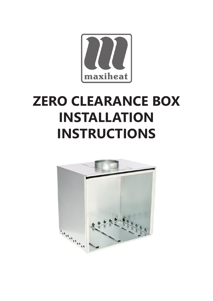

# **ZERO CLEARANCE BOX INSTALLATION INSTRUCTIONS**

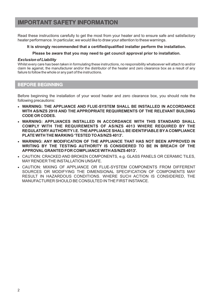### **IMPORTANT SAFETY INFORMATION**

Read these instructions carefully to get the most from your heater and to ensure safe and satisfactory heater performance. In particular, we would like to draw your attention to these warnings.

### **It is strongly recommended that a certified/qualified installer perform the installation.**

#### **Please be aware that you may need to get council approval prior to installation.**

#### *Exclusion of Liability*

Whilst every care has been taken in formulating these instructions, no responsibility whatsoever will attach to and/or claim lie against, the manufacturer and/or the distributor of the heater and zero clearance box as a result of any failure to follow the whole or any part of the instructions.

### **BEFORE BEGINNING**

Before beginning the installation of your wood heater and zero clearance box, you should note the following precautions:

- · **WARNING: THE APPLIANCE AND FLUE-SYSTEM SHALL BE INSTALLED IN ACCORDANCE WITH AS/NZS 2918 AND THE APPROPRIATE REQUIREMENTS OF THE RELEVANT BUILDING CODE OR CODES.**
- · **WARNING: APPLIANCES INSTALLED IN ACCORDANCE WITH THIS STANDARD SHALL COMPLY WITH THE REQUIREMENTS OF AS/NZS 4013 WHERE REQUIRED BY THE REGULATORYAUTHORITY I.E. THEAPPLIANCE SHALL BE IDENTIFIABLE BYACOMPLIANCE PLATE WITH THE MARKING 'TESTED TOAS/NZS 4013'.**
- · **WARNING: ANY MODIFICATION OF THE APPLIANCE THAT HAS NOT BEEN APPROVED IN WRITING BY THE TESTING AUTHORITY IS CONSIDERED TO BE IN BREACH OF THE APPROVAL GRANTED FOR COMPLIANCE WITHAS/NZS 4013'.**
- · CAUTION: CRACKED AND BROKEN COMPONENTS, e.g. GLASS PANELS OR CERAMIC TILES, MAY RENDER THE INSTALLATION UNSAFE.
- · CAUTION: MIXING OF APPLIANCE OR FLUE-SYSTEM COMPONENTS FROM DIFFERENT SOURCES OR MODIFYING THE DIMENSIONAL SPECIFICATION OF COMPONENTS MAY RESULT IN HAZARDOUS CONDITIONS. WHERE SUCH ACTION IS CONSIDERED, THE MANUFACTURER SHOULD BE CONSULTED IN THE FIRST INSTANCE.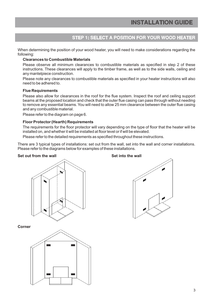### **STEP 1: SELECT A POSITION FOR YOUR WOOD HEATER**

When determining the position of your wood heater, you will need to make considerations regarding the following:

#### **Clearances to Combustible Materials**

Please observe all minimum clearances to combustible materials as specified in step 2 of these instructions. These clearances will apply to the timber frame, as well as to the side walls, ceiling and any mantelpiece construction.

Please note any clearances to combustible materials as specified in your heater instructions will also need to be adhered to.

#### **Flue Requirements**

Please also allow for clearances in the roof for the flue system. Inspect the roof and ceiling support beams at the proposed location and check that the outer flue casing can pass through without needing to remove any essential beams. You will need to allow 25 mm clearance between the outer flue casing and any combustible material.

Please refer to the diagram on page 6.

#### **Floor Protector (Hearth) Requirements**

The requirements for the floor protector will vary depending on the type of floor that the heater will be installed on, and whether it will be installed at floor level or if will be elevated.

Please refer to the detailed requirements as specified throughout these instructions.

There are 3 typical types of installations: set out from the wall, set into the wall and corner installations. Please refer to the diagrams below for examples of these installations.

#### **Set out from the wall contract the wall contract to the wall**





**Corner**

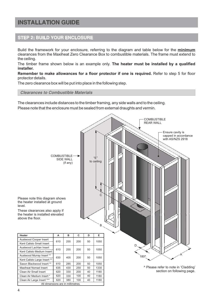### **STEP 2: BUILD YOUR ENCLOSURE**

Build the framework for your enclosure, referring to the diagram and table below for the **minimum** clearances from the Maxiheat Zero Clearance Box to combustible materials. The frame must extend to the ceiling.

The timber frame shown below is an example only. **The heater must be installed by a qualified installer.**

**Remember to make allowances for a floor protector if one is required.** Refer to step 5 for floor protector details.

The zero clearance box will be put into place in the following step.

**Clearances to Combustible Materials** 

The clearances include distances to the timber framing, any side walls and to the ceiling. Please note that the enclosure must be sealed from external draughts and vermin.

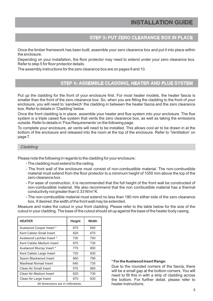### **STEP 3: PUT ZERO CLEARANCE BOX IN PLACE**

Once the timber framework has been built, assemble your zero clearance box and put it into place within the enclosure.

Depending on your installation, the floor protector may need to extend under your zero clearance box. Refer to step 5 for floor protector details.

The assembly instructions for the zero clearance box are on pages 9 and 10.

### **STEP 4: ASSEMBLE CLADDING, HEATER AND FLUE SYSTEM**

Put up the cladding for the front of your enclosure first. For most heater models, the heater fascia is smaller than the front of the zero clearance box. So, when you are fitting the cladding to the front of your enclosure, you will need to 'sandwich' the cladding in between the heater fascia and the zero clearance box. Refer to details in 'Cladding'below.

Once the front cladding is in place, assemble your heater and flue system into your enclosure. The flue system is a triple cased flue system that vents the zero clearance box, as well as taking the emissions outside. Refer to details in 'Flue Requirements'on the following page.

To complete your enclosure, air vents will need to be installed. This allows cool air to be drawn in at the bottom of the enclosure and released into the room at the top of the enclosure. Refer to 'Ventilation' on page 7.

#### *Cladding*

Please note the following in regards to the cladding for your enclosure:

- The cladding must extend to the ceiling.
- The front wall of the enclosure must consist of non-combustible material. The non-combustible material must extend from the floor protector to a minimum height of 1050 mm above the top of the zero clearance box.
- For ease of construction, it is recommended that the full height of the front wall be constructed of non-combustible material. We also recommend that the non combustible material has a thermal conductivity not greater than 0.33 W/m<sup>o</sup>K.
- The non-combustible material must extend no less than 180 mm either side of the zero clearance box. If desired, the width of the front wall may be extended.

Measure and make the cutout in your front cladding. Please refer to the table below for the size of the cutout in your cladding. The base of the cutout should sit up against the base of the heater body casing.

| <b>HEATER</b>                      | Height | <b>Width</b> |  |
|------------------------------------|--------|--------------|--|
| Austwood Cooper Insert *           | 670    | 640          |  |
| Kent Calisto Small Insert          | 620    | 670          |  |
| Austwood Lachlan Insert *          | 720    | 700          |  |
| Kent Calisto Medium Insert         | 670    | 730          |  |
| Austwood Murray Insert *           | 770    | 800          |  |
| Kent Calisto Large Insert          | 720    | 830          |  |
| Saxon Blackwood Insert             | 660    | 790          |  |
| Maxiheat Nomad Insert              | 640    | 735          |  |
| Clean Air Small Insert             | 570    | 680          |  |
| Clean Air Medium Insert            | 620    | 730          |  |
| Clean Air Large Insert             | 670    | 830          |  |
| All dimensions are in millimetres. |        |              |  |

#### **\* For theAustwood Insert Range:**

Due to the rounded corners of the fascia, there will be a small gap at the bottom corners. You will need to fill this in with a strip of cladding across the bottom. For further detail, please refer to heater instructions.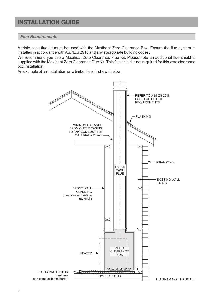#### **Flue Requirements**

A triple case flue kit must be used with the Maxiheat Zero Clearance Box. Ensure the flue system is installed in accordance withAS/NZS 2918 and any appropriate building codes.

We recommend you use a Maxiheat Zero Clearance Flue Kit. Please note an additional flue shield is supplied with the Maxiheat Zero Clearance Flue Kit. This flue shield is not required for this zero clearance box installation.

An example of an installation on a timber floor is shown below.

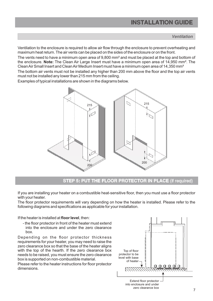*Ventilation*

Ventilation to the enclosure is required to allow air flow through the enclosure to prevent overheating and maximum heat return. The air vents can be placed on the sides of the enclosure or on the front.

The vents need to have a minimum open area of 9,800 mm<sup>2</sup> and must be placed at the top and bottom of the enclosure. Note: The Clean Air Large Insert must have a minimum open area of 14,950 mm<sup>2</sup>. The CleanAir Small Insert and CleanAir Medium Insert must have a minimum open area of 14,350 mm²

The bottom air vents must not be installed any higher than 200 mm above the floor and the top air vents must not be installed any lower than 215 mm from the ceiling.

Examples of typical installations are shown in the diagrams below.



**STEP 5: PUT THE FLOOR PROTECTOR IN PLACE (if required)** 

If you are installing your heater on a combustible heat-sensitive floor, then you must use a floor protector with your heater.

The floor protector requirements will vary depending on how the heater is installed. Please refer to the following diagrams and specifications as applicable for your installation.

If the heater is installed at **floor level**, then:

- the floor protector in front of the heater must extend into the enclosure and under the zero clearance box.

Depending on the floor protector thickness requirements for your heater, you may need to raise the zero clearance box so that the base of the heater aligns with the top of the hearth. If the zero clearance box needs to be raised, you must ensure the zero clearance box is supported on non-combustible material.

Please refer to the heater instructions for floor protector dimensions.

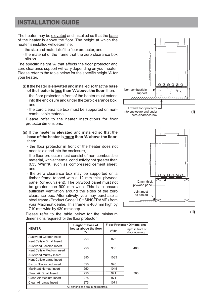The heater may be elevated and installed so that the base of the heater is above the floor. The height at which the heater is installed will determine:

- the size and material of the floor protector, and
- the material of the frame that the zero clearance box sits on.

The specific height 'A' that affects the floor protector and zero clearance support will vary depending on your heater. Please refer to the table below for the specific height 'A' for your heater.

- (i) If the heater is **elevated** and installed so that the **base of the heater is less than 'A' above the floor, then:** 
	- the floor protector in front of the heater must extend into the enclosure and under the zero clearance box, and
	- the zero clearance box must be supported on noncombustible material.

Please refer to the heater instructions for floor protector dimensions.

- (ii) If the heater is **elevated** and installed so that the base of the heater is more than 'A' above the floor, then:
	- the floor protector in front of the heater does not need to extend into the enclosure,
	- the floor protector must consist of non-combustible material, with a thermal conductivity not greater than 0.33 W/m°K, such as compressed cement sheet, and
	- the zero clearance box may be supported on a timber frame topped with a 12 mm thick plywood panel (or equivalent). The plywood panel must not be greater than 900 mm wide. This is to ensure sufficient ventilation around the sides of the zero clearance box. Alternatively, you may purchase a steel frame (Product Code: LSHSINSFRAME) from your Maxiheat dealer. This frame is 400 mm high by 710 mm wide by 430 mm deep.

Non-combustible support 1111111111 Extend floor protector into enclosure and under **(i)**

zero clearance box



Please refer to the table below for the minimum dimensions required for the floor protector.

| Height of base of                  |                               | <b>Floor Protector Dimensions</b> |                                   |  |
|------------------------------------|-------------------------------|-----------------------------------|-----------------------------------|--|
| <b>HEATER</b>                      | heater above the floor<br>ʻA' | Width                             | Depth in front of<br>door opening |  |
| Austwood Cooper Insert             | 250                           | 873                               |                                   |  |
| Kent Calisto Small Insert          |                               |                                   |                                   |  |
| Austwood Lachlan Insert            | 250                           | 935                               | 400                               |  |
| Kent Calisto Medium Insert         |                               |                                   |                                   |  |
| Austwood Murray Insert             | 350                           | 1033                              |                                   |  |
| Kent Calisto Large Insert          |                               |                                   |                                   |  |
| Saxon Blackwood Insert             | 350                           | 920                               |                                   |  |
| Maxiheat Nomad Insert              | 250                           | 1045                              |                                   |  |
| Clean Air Small Insert             | 250                           | 921                               | 300                               |  |
| Clean Air Medium Insert            | 275                           | 971                               |                                   |  |
| Clean Air Large Insert             | 375                           | 1071                              |                                   |  |
| All dimensions are in millimetres. |                               |                                   |                                   |  |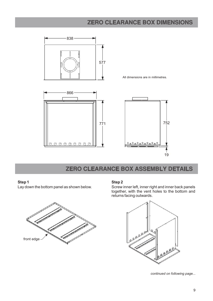### **ZERO CLEARANCE BOX DIMENSIONS**



### **ZERO CLEARANCE BOX ASSEMBLY DETAILS**

### **Step 1**

Lay down the bottom panel as shown below.

### **Step 2**

Screw inner left, inner right and inner back panels together, with the vent holes to the bottom and returns facing outwards.





*continued on following page...*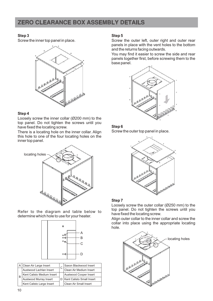### **ZERO CLEARANCE BOX ASSEMBLY DETAILS**

### **Step 3**

Screw the inner top panel in place.



### **Step 4**

Loosely screw the inner collar (Ø200 mm) to the top panel. Do not tighten the screws until you have fixed the locating screw.

There is a locating hole on the inner collar. Align this hole to one of the four locating holes on the inner top panel.



Refer to the diagram and table below to determine which hole to use for your heater.



|   | Clean Air Large Insert     | Saxon Blackwood Insert        |
|---|----------------------------|-------------------------------|
|   | Austwood Lachlan Insert    | Clean Air Medium Insert       |
| B | Kent Calisto Medium Insert | Austwood Cooper Insert        |
|   | Austwood Murray Insert     | D   Kent Calisto Small Insert |
|   | Kent Calisto Large Insert  | Clean Air Small Insert        |

### **Step 5**

Screw the outer left, outer right and outer rear panels in place with the vent holes to the bottom and the returns facing outwards.

You may find it easier to screw the side and rear panels together first, before screwing them to the base panel.



### **Step 6**

Screw the outer top panel in place.



### **Step 7**

Loosely screw the outer collar (Ø250 mm) to the top panel. Do not tighten the screws until you have fixed the locating screw.

Align outer collar to the inner collar and screw the collar into place using the appropriate locating hole.

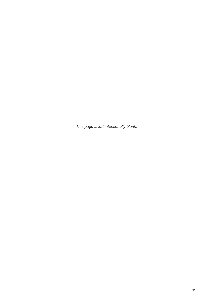*This page is left intentionally blank.*